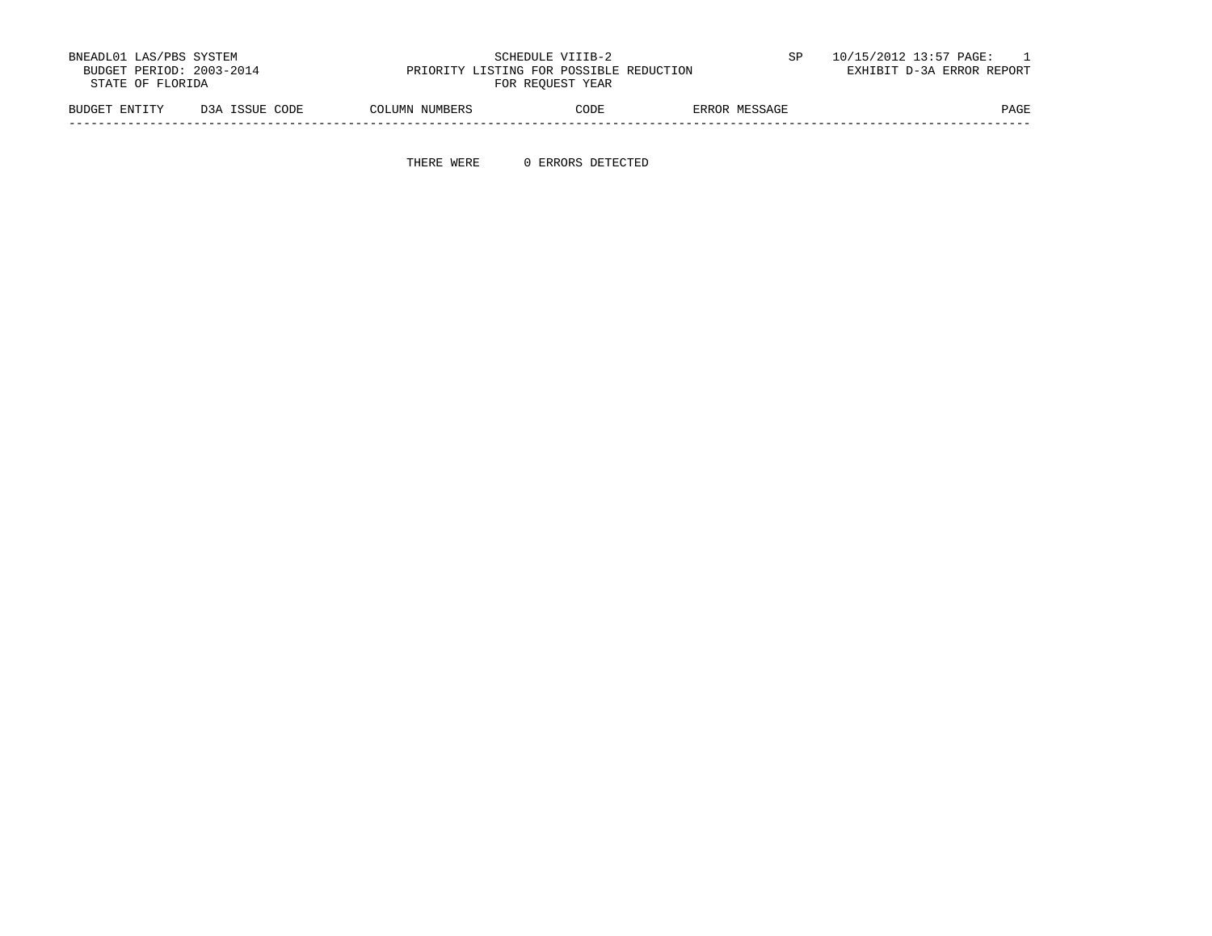| BNEADL01 LAS/PBS SYSTEM<br>BUDGET PERIOD: 2003-2014<br>STATE OF FLORIDA |                | PRIORITY LISTING FOR POSSIBLE REDUCTION | SCHEDULE VIIIB-2<br>FOR REOUEST YEAR |               | 10/15/2012 13:57 PAGE:<br>EXHIBIT D-3A ERROR REPORT |
|-------------------------------------------------------------------------|----------------|-----------------------------------------|--------------------------------------|---------------|-----------------------------------------------------|
| BUDGET ENTITY                                                           | D3A ISSUE CODE | COLUMN NUMBERS                          | CODE                                 | ERROR MESSAGE | PAGE                                                |

-----------------------------------------------------------------------------------------------------------------------------------

THERE WERE 0 ERRORS DETECTED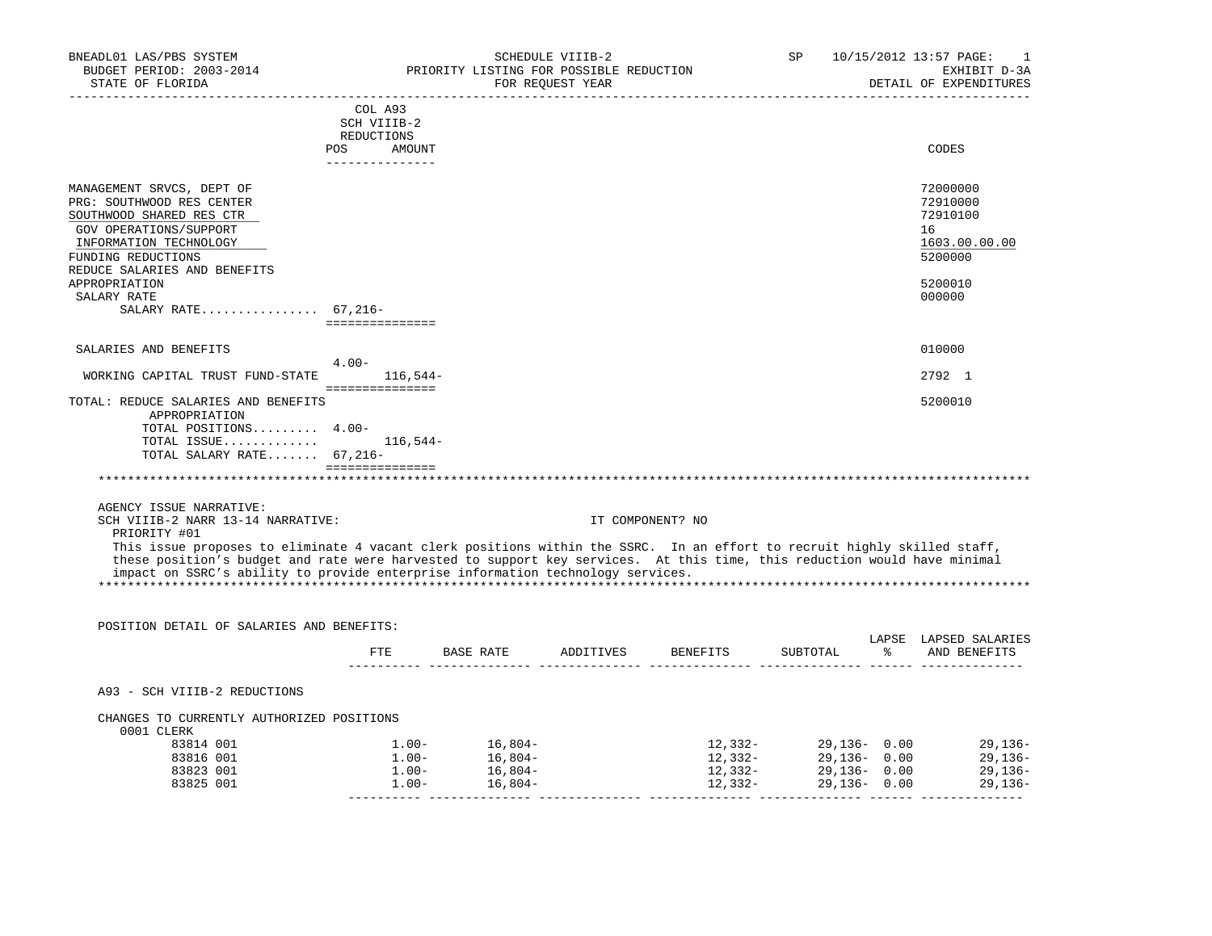| BNEADL01 LAS/PBS SYSTEM<br>BUDGET PERIOD: 2003-2014<br>STATE OF FLORIDA<br>---------------------<br>____________________________ |            |                               | PRIORITY LISTING FOR POSSIBLE REDUCTION | SCHEDULE VIIIB-2<br>FOR REQUEST YEAR |                                           | SP                   |              | 10/15/2012 13:57 PAGE:<br>1<br>EXHIBIT D-3A<br>DETAIL OF EXPENDITURES |
|----------------------------------------------------------------------------------------------------------------------------------|------------|-------------------------------|-----------------------------------------|--------------------------------------|-------------------------------------------|----------------------|--------------|-----------------------------------------------------------------------|
|                                                                                                                                  |            | COL A93                       |                                         |                                      |                                           |                      |              |                                                                       |
|                                                                                                                                  |            | SCH VIIIB-2                   |                                         |                                      |                                           |                      |              |                                                                       |
|                                                                                                                                  | REDUCTIONS |                               |                                         |                                      |                                           |                      |              |                                                                       |
|                                                                                                                                  |            | POS AMOUNT<br>--------------- |                                         |                                      |                                           |                      |              | CODES                                                                 |
|                                                                                                                                  |            |                               |                                         |                                      |                                           |                      |              |                                                                       |
| MANAGEMENT SRVCS, DEPT OF                                                                                                        |            |                               |                                         |                                      |                                           |                      |              | 72000000                                                              |
| PRG: SOUTHWOOD RES CENTER                                                                                                        |            |                               |                                         |                                      |                                           |                      |              | 72910000                                                              |
| SOUTHWOOD SHARED RES CTR                                                                                                         |            |                               |                                         |                                      |                                           |                      |              | 72910100                                                              |
| GOV OPERATIONS/SUPPORT<br>INFORMATION TECHNOLOGY                                                                                 |            |                               |                                         |                                      |                                           |                      |              | 16<br>1603.00.00.00                                                   |
|                                                                                                                                  |            |                               |                                         |                                      |                                           |                      |              |                                                                       |
| FUNDING REDUCTIONS                                                                                                               |            |                               |                                         |                                      |                                           |                      |              | 5200000                                                               |
| REDUCE SALARIES AND BENEFITS                                                                                                     |            |                               |                                         |                                      |                                           |                      |              |                                                                       |
| APPROPRIATION<br>SALARY RATE                                                                                                     |            |                               |                                         |                                      |                                           |                      |              | 5200010<br>000000                                                     |
| SALARY RATE $67,216-$                                                                                                            |            |                               |                                         |                                      |                                           |                      |              |                                                                       |
|                                                                                                                                  |            | ===============               |                                         |                                      |                                           |                      |              |                                                                       |
| SALARIES AND BENEFITS                                                                                                            |            |                               |                                         |                                      |                                           |                      |              | 010000                                                                |
|                                                                                                                                  | $4.00 -$   |                               |                                         |                                      |                                           |                      |              |                                                                       |
| WORKING CAPITAL TRUST FUND-STATE                                                                                                 |            | $116.544-$                    |                                         |                                      |                                           |                      |              | 2792 1                                                                |
|                                                                                                                                  |            | ===============               |                                         |                                      |                                           |                      |              |                                                                       |
| TOTAL: REDUCE SALARIES AND BENEFITS                                                                                              |            |                               |                                         |                                      |                                           |                      |              | 5200010                                                               |
| APPROPRIATION                                                                                                                    |            |                               |                                         |                                      |                                           |                      |              |                                                                       |
| TOTAL POSITIONS 4.00-                                                                                                            |            |                               |                                         |                                      |                                           |                      |              |                                                                       |
| TOTAL ISSUE                                                                                                                      |            | $116,544-$                    |                                         |                                      |                                           |                      |              |                                                                       |
| TOTAL SALARY RATE 67,216-                                                                                                        |            |                               |                                         |                                      |                                           |                      |              |                                                                       |
|                                                                                                                                  |            |                               |                                         |                                      |                                           |                      |              |                                                                       |
|                                                                                                                                  |            |                               |                                         |                                      |                                           |                      |              |                                                                       |
| AGENCY ISSUE NARRATIVE:                                                                                                          |            |                               |                                         |                                      |                                           |                      |              |                                                                       |
| SCH VIIIB-2 NARR 13-14 NARRATIVE:                                                                                                |            |                               |                                         |                                      | IT COMPONENT? NO                          |                      |              |                                                                       |
| PRIORITY #01                                                                                                                     |            |                               |                                         |                                      |                                           |                      |              |                                                                       |
| This issue proposes to eliminate 4 vacant clerk positions within the SSRC. In an effort to recruit highly skilled staff,         |            |                               |                                         |                                      |                                           |                      |              |                                                                       |
| these position's budget and rate were harvested to support key services. At this time, this reduction would have minimal         |            |                               |                                         |                                      |                                           |                      |              |                                                                       |
| impact on SSRC's ability to provide enterprise information technology services.                                                  |            |                               |                                         |                                      |                                           |                      |              |                                                                       |
|                                                                                                                                  |            |                               |                                         |                                      |                                           |                      |              |                                                                       |
|                                                                                                                                  |            |                               |                                         |                                      |                                           |                      |              |                                                                       |
| POSITION DETAIL OF SALARIES AND BENEFITS:                                                                                        |            |                               |                                         |                                      |                                           |                      |              |                                                                       |
|                                                                                                                                  |            |                               |                                         |                                      |                                           |                      |              | LAPSE LAPSED SALARIES                                                 |
|                                                                                                                                  |            |                               |                                         |                                      | FTE BASE RATE ADDITIVES BENEFITS SUBTOTAL |                      |              | % AND BENEFITS                                                        |
|                                                                                                                                  |            |                               |                                         |                                      |                                           |                      |              |                                                                       |
| A93 - SCH VIIIB-2 REDUCTIONS                                                                                                     |            |                               |                                         |                                      |                                           |                      |              |                                                                       |
| CHANGES TO CURRENTLY AUTHORIZED POSITIONS                                                                                        |            |                               |                                         |                                      |                                           |                      |              |                                                                       |
| 0001 CLERK                                                                                                                       |            |                               |                                         |                                      |                                           |                      |              |                                                                       |
| 83814 001                                                                                                                        |            | $1.00-$                       | $16,804-$                               |                                      |                                           | $12,332-29,136-0.00$ |              | 29,136-                                                               |
| 83816 001                                                                                                                        |            | $1.00 -$                      | $16,804-$                               |                                      | 12,332-                                   |                      | 29,136- 0.00 | 29,136-                                                               |
| 83823 001                                                                                                                        |            | $1.00 -$                      | $16,804-$                               |                                      | 12,332-                                   |                      | 29,136-0.00  | 29,136-                                                               |
| 83825 001                                                                                                                        |            | $1.00-$                       | $16,804-$                               |                                      | 12,332-                                   |                      | 29,136- 0.00 | 29,136-                                                               |
|                                                                                                                                  |            |                               |                                         |                                      |                                           |                      |              |                                                                       |
|                                                                                                                                  |            |                               |                                         |                                      |                                           |                      |              |                                                                       |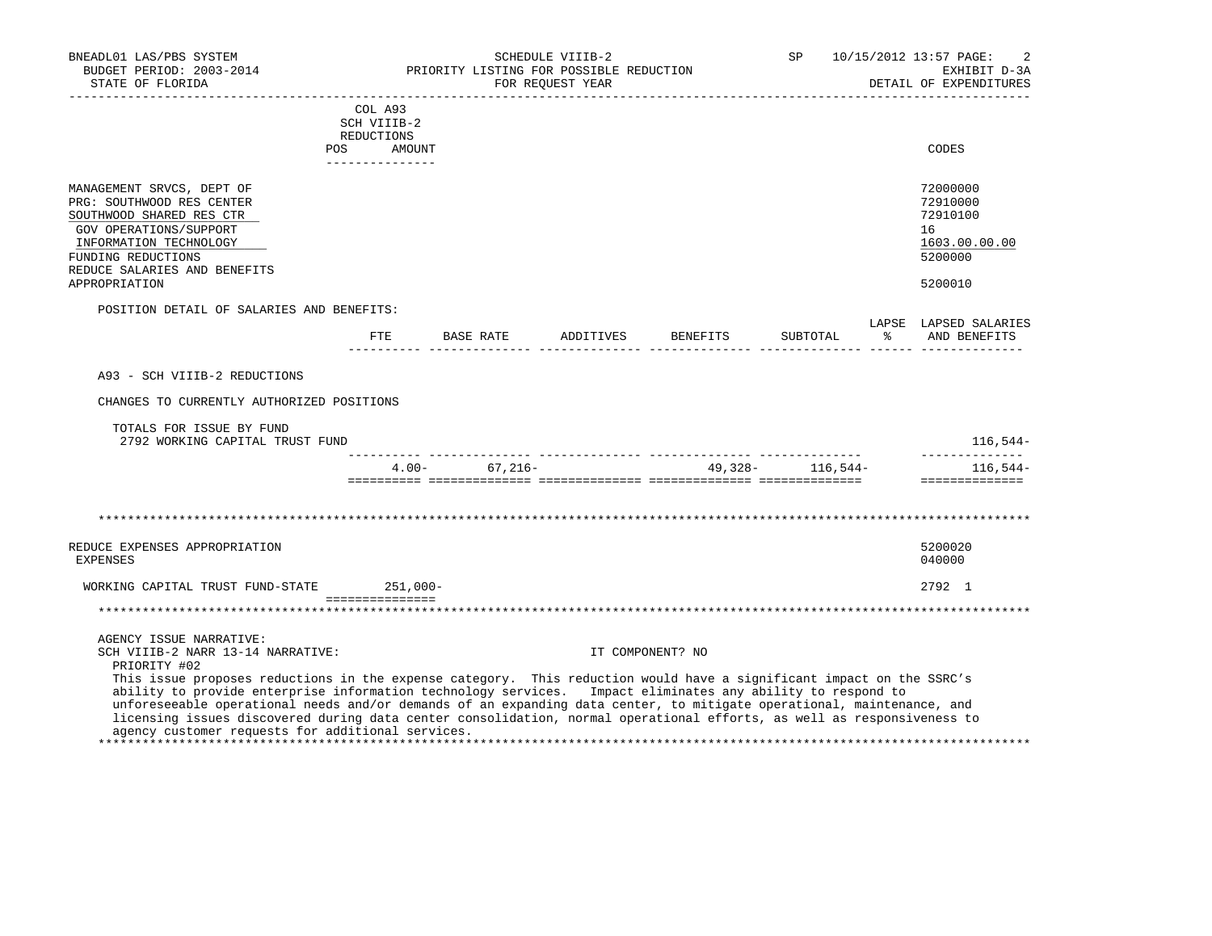| BNEADL01 LAS/PBS SYSTEM<br>BUDGET PERIOD: 2003-2014<br>STATE OF FLORIDA<br>__________________                                                                                                                                                                                                                                                                                                                                                                                                                                                                                                                              |                                                                   | PRIORITY LISTING FOR POSSIBLE REDUCTION | SCHEDULE VIIIB-2<br>FOR REOUEST YEAR<br>______________________ |                                  | SP                 |   | 10/15/2012 13:57 PAGE:<br>2<br>EXHIBIT D-3A<br>DETAIL OF EXPENDITURES |
|----------------------------------------------------------------------------------------------------------------------------------------------------------------------------------------------------------------------------------------------------------------------------------------------------------------------------------------------------------------------------------------------------------------------------------------------------------------------------------------------------------------------------------------------------------------------------------------------------------------------------|-------------------------------------------------------------------|-----------------------------------------|----------------------------------------------------------------|----------------------------------|--------------------|---|-----------------------------------------------------------------------|
| POS                                                                                                                                                                                                                                                                                                                                                                                                                                                                                                                                                                                                                        | COL A93<br>SCH VIIIB-2<br>REDUCTIONS<br>AMOUNT<br>_______________ |                                         |                                                                |                                  |                    |   | CODES                                                                 |
| MANAGEMENT SRVCS, DEPT OF<br>PRG: SOUTHWOOD RES CENTER<br>SOUTHWOOD SHARED RES CTR<br>GOV OPERATIONS/SUPPORT<br>INFORMATION TECHNOLOGY<br>FUNDING REDUCTIONS<br>REDUCE SALARIES AND BENEFITS                                                                                                                                                                                                                                                                                                                                                                                                                               |                                                                   |                                         |                                                                |                                  |                    |   | 72000000<br>72910000<br>72910100<br>16<br>1603.00.00.00<br>5200000    |
| APPROPRIATION                                                                                                                                                                                                                                                                                                                                                                                                                                                                                                                                                                                                              |                                                                   |                                         |                                                                |                                  |                    |   | 5200010                                                               |
| POSITION DETAIL OF SALARIES AND BENEFITS:                                                                                                                                                                                                                                                                                                                                                                                                                                                                                                                                                                                  |                                                                   |                                         |                                                                | FTE BASE RATE ADDITIVES BENEFITS | SUBTOTAL           | ိ | LAPSE LAPSED SALARIES<br>AND BENEFITS                                 |
| A93 - SCH VIIIB-2 REDUCTIONS<br>CHANGES TO CURRENTLY AUTHORIZED POSITIONS<br>TOTALS FOR ISSUE BY FUND<br>2792 WORKING CAPITAL TRUST FUND                                                                                                                                                                                                                                                                                                                                                                                                                                                                                   |                                                                   |                                         |                                                                |                                  |                    |   | 116,544–<br>______________                                            |
|                                                                                                                                                                                                                                                                                                                                                                                                                                                                                                                                                                                                                            |                                                                   | $4.00 - 67.216 -$                       |                                                                |                                  | 49,328 - 116,544 - |   | $116.544-$<br>==============                                          |
| REDUCE EXPENSES APPROPRIATION<br><b>EXPENSES</b>                                                                                                                                                                                                                                                                                                                                                                                                                                                                                                                                                                           |                                                                   |                                         |                                                                |                                  |                    |   | 5200020<br>040000                                                     |
| WORKING CAPITAL TRUST FUND-STATE 251,000-                                                                                                                                                                                                                                                                                                                                                                                                                                                                                                                                                                                  |                                                                   |                                         |                                                                |                                  |                    |   | 2792 1                                                                |
|                                                                                                                                                                                                                                                                                                                                                                                                                                                                                                                                                                                                                            | -----------------                                                 |                                         |                                                                |                                  |                    |   |                                                                       |
| AGENCY ISSUE NARRATIVE:<br>SCH VIIIB-2 NARR 13-14 NARRATIVE:<br>PRIORITY #02<br>This issue proposes reductions in the expense category. This reduction would have a significant impact on the SSRC's<br>ability to provide enterprise information technology services. Impact eliminates any ability to respond to<br>unforeseeable operational needs and/or demands of an expanding data center, to mitigate operational, maintenance, and<br>licensing issues discovered during data center consolidation, normal operational efforts, as well as responsiveness to<br>agency customer requests for additional services. |                                                                   |                                         | IT COMPONENT? NO                                               |                                  |                    |   |                                                                       |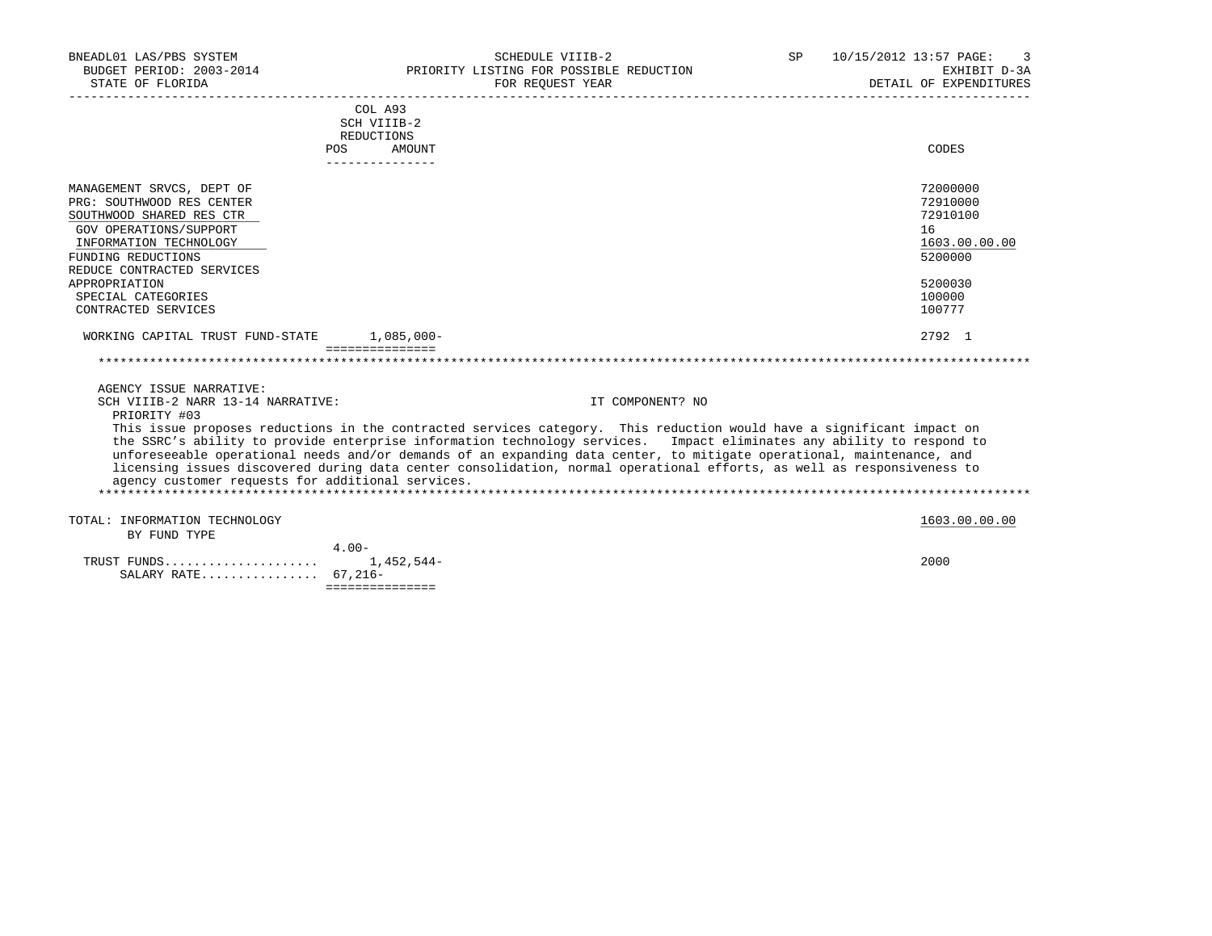| BNEADL01 LAS/PBS SYSTEM<br>STATE OF FLORIDA                                                                                                                                                                                                              | SCHEDULE VIIIB-2<br>BUDGET PERIOD: 2003-2014 PRIORITY LISTING FOR POSSIBLE REDUCTION<br>FOR REOUEST YEAR                                                                                                                                                                                                                                                                                                                                                                                          | SP 10/15/2012 13:57 PAGE:<br>3<br>EXHIBIT D-3A<br>DETAIL OF EXPENDITURES                          |
|----------------------------------------------------------------------------------------------------------------------------------------------------------------------------------------------------------------------------------------------------------|---------------------------------------------------------------------------------------------------------------------------------------------------------------------------------------------------------------------------------------------------------------------------------------------------------------------------------------------------------------------------------------------------------------------------------------------------------------------------------------------------|---------------------------------------------------------------------------------------------------|
| <b>POS</b>                                                                                                                                                                                                                                               | COL A93<br>SCH VIIIB-2<br>REDUCTIONS<br>AMOUNT                                                                                                                                                                                                                                                                                                                                                                                                                                                    | CODES                                                                                             |
| MANAGEMENT SRVCS, DEPT OF<br>PRG: SOUTHWOOD RES CENTER<br>SOUTHWOOD SHARED RES CTR<br>GOV OPERATIONS/SUPPORT<br>INFORMATION TECHNOLOGY<br>FUNDING REDUCTIONS<br>REDUCE CONTRACTED SERVICES<br>APPROPRIATION<br>SPECIAL CATEGORIES<br>CONTRACTED SERVICES |                                                                                                                                                                                                                                                                                                                                                                                                                                                                                                   | 72000000<br>72910000<br>72910100<br>16<br>1603.00.00.00<br>5200000<br>5200030<br>100000<br>100777 |
| WORKING CAPITAL TRUST FUND-STATE 1,085,000-                                                                                                                                                                                                              | ---------------                                                                                                                                                                                                                                                                                                                                                                                                                                                                                   | 2792 1                                                                                            |
|                                                                                                                                                                                                                                                          |                                                                                                                                                                                                                                                                                                                                                                                                                                                                                                   |                                                                                                   |
| AGENCY ISSUE NARRATIVE:<br>SCH VIIIB-2 NARR 13-14 NARRATIVE:<br>PRIORITY #03                                                                                                                                                                             | IT COMPONENT? NO                                                                                                                                                                                                                                                                                                                                                                                                                                                                                  |                                                                                                   |
| agency customer requests for additional services.                                                                                                                                                                                                        | This issue proposes reductions in the contracted services category. This reduction would have a significant impact on<br>the SSRC's ability to provide enterprise information technology services. Impact eliminates any ability to respond to<br>unforeseeable operational needs and/or demands of an expanding data center, to mitigate operational, maintenance, and<br>licensing issues discovered during data center consolidation, normal operational efforts, as well as responsiveness to |                                                                                                   |
| TOTAL: INFORMATION TECHNOLOGY                                                                                                                                                                                                                            |                                                                                                                                                                                                                                                                                                                                                                                                                                                                                                   | 1603.00.00.00                                                                                     |
| BY FUND TYPE                                                                                                                                                                                                                                             | $4.00 -$                                                                                                                                                                                                                                                                                                                                                                                                                                                                                          |                                                                                                   |
| TRUST FUNDS                                                                                                                                                                                                                                              | 1,452,544-                                                                                                                                                                                                                                                                                                                                                                                                                                                                                        | 2000                                                                                              |

SALARY RATE................ 67,216-

===============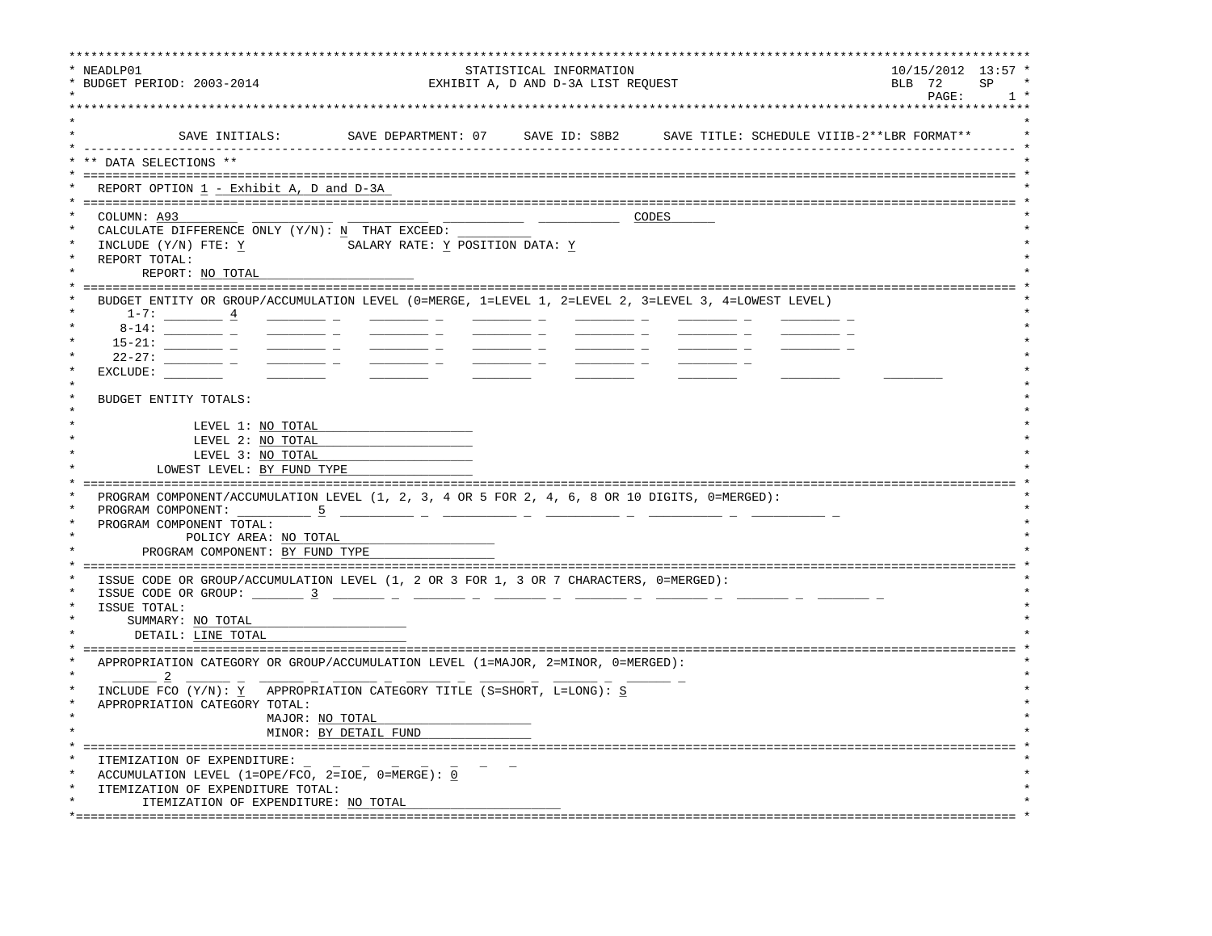| NEADLP01<br>BUDGET PERIOD: 2003-2014                                                                                                                                                                                                                         |                                                                                                                                                                                                                                                                                                                                                                                                                                              | STATISTICAL INFORMATION<br>EXHIBIT A, D AND D-3A LIST REQUEST |       | $10/15/2012$ $13:57$<br>BLB 72<br>SP<br>PAGE:<br>1 |
|--------------------------------------------------------------------------------------------------------------------------------------------------------------------------------------------------------------------------------------------------------------|----------------------------------------------------------------------------------------------------------------------------------------------------------------------------------------------------------------------------------------------------------------------------------------------------------------------------------------------------------------------------------------------------------------------------------------------|---------------------------------------------------------------|-------|----------------------------------------------------|
|                                                                                                                                                                                                                                                              | SAVE INITIALS: SAVE DEPARTMENT: 07 SAVE ID: S8B2 SAVE TITLE: SCHEDULE VIIIB-2**LBR FORMAT**                                                                                                                                                                                                                                                                                                                                                  |                                                               |       |                                                    |
| DATA SELECTIONS **                                                                                                                                                                                                                                           |                                                                                                                                                                                                                                                                                                                                                                                                                                              |                                                               |       |                                                    |
| REPORT OPTION 1 - Exhibit A, D and D-3A                                                                                                                                                                                                                      |                                                                                                                                                                                                                                                                                                                                                                                                                                              |                                                               |       |                                                    |
| COLUMN: A93<br>CALCULATE DIFFERENCE ONLY (Y/N): N THAT EXCEED:<br>INCLUDE (Y/N) FTE: Y<br>REPORT TOTAL:<br>REPORT: NO TOTAL                                                                                                                                  | SALARY RATE: Y POSITION DATA: Y                                                                                                                                                                                                                                                                                                                                                                                                              |                                                               | CODES |                                                    |
| BUDGET ENTITY OR GROUP/ACCUMULATION LEVEL (0=MERGE, 1=LEVEL 1, 2=LEVEL 2, 3=LEVEL 3, 4=LOWEST LEVEL)<br>$1-7:$ $4$<br>$8 - 14:$<br>$22 - 27:$ _____________________<br>EXCLUDE:<br>BUDGET ENTITY TOTALS:                                                     | $\frac{1}{2}$ and $\frac{1}{2}$ and $\frac{1}{2}$ and $\frac{1}{2}$ and $\frac{1}{2}$ and $\frac{1}{2}$ and $\frac{1}{2}$ and $\frac{1}{2}$<br>$\frac{1}{2}$ and $\frac{1}{2}$ and $\frac{1}{2}$ and $\frac{1}{2}$ and $\frac{1}{2}$ and $\frac{1}{2}$ and $\frac{1}{2}$ and $\frac{1}{2}$ and $\frac{1}{2}$ and $\frac{1}{2}$ and $\frac{1}{2}$ and $\frac{1}{2}$ and $\frac{1}{2}$ and $\frac{1}{2}$ and $\frac{1}{2}$ and $\frac{1}{2}$ a |                                                               |       |                                                    |
| LEVEL 1: NO TOTAL<br>LEVEL 2: NO TOTAL<br>LEVEL 3: NO TOTAL                                                                                                                                                                                                  |                                                                                                                                                                                                                                                                                                                                                                                                                                              |                                                               |       |                                                    |
| LOWEST LEVEL: BY FUND TYPE                                                                                                                                                                                                                                   |                                                                                                                                                                                                                                                                                                                                                                                                                                              |                                                               |       |                                                    |
| PROGRAM COMPONENT/ACCUMULATION LEVEL (1, 2, 3, 4 OR 5 FOR 2, 4, 6, 8 OR 10 DIGITS, 0=MERGED):<br>PROGRAM COMPONENT: 5                                                                                                                                        |                                                                                                                                                                                                                                                                                                                                                                                                                                              |                                                               |       |                                                    |
| PROGRAM COMPONENT TOTAL:<br>POLICY AREA: NO TOTAL<br>PROGRAM COMPONENT: BY FUND TYPE                                                                                                                                                                         |                                                                                                                                                                                                                                                                                                                                                                                                                                              |                                                               |       |                                                    |
| ISSUE CODE OR GROUP/ACCUMULATION LEVEL (1, 2 OR 3 FOR 1, 3 OR 7 CHARACTERS, 0=MERGED):<br>ISSUE CODE OR GROUP: $\frac{3}{2}$ $\frac{1}{2}$ $\frac{1}{2}$ $\frac{1}{2}$ $\frac{1}{2}$ $\frac{1}{2}$ $\frac{1}{2}$ $\frac{1}{2}$ $\frac{1}{2}$<br>ISSUE TOTAL: |                                                                                                                                                                                                                                                                                                                                                                                                                                              |                                                               |       |                                                    |
| SUMMARY: NO TOTAL<br>DETAIL: LINE TOTAL                                                                                                                                                                                                                      |                                                                                                                                                                                                                                                                                                                                                                                                                                              |                                                               |       |                                                    |
| APPROPRIATION CATEGORY OR GROUP/ACCUMULATION LEVEL (1=MAJOR, 2=MINOR, 0=MERGED):                                                                                                                                                                             |                                                                                                                                                                                                                                                                                                                                                                                                                                              |                                                               |       |                                                    |
| INCLUDE FCO (Y/N): Y APPROPRIATION CATEGORY TITLE (S=SHORT, L=LONG): S<br>APPROPRIATION CATEGORY TOTAL:                                                                                                                                                      |                                                                                                                                                                                                                                                                                                                                                                                                                                              |                                                               |       |                                                    |
|                                                                                                                                                                                                                                                              | MAJOR: NO TOTAL<br>MINOR: BY DETAIL FUND                                                                                                                                                                                                                                                                                                                                                                                                     |                                                               |       |                                                    |
| ITEMIZATION OF EXPENDITURE:<br>ACCUMULATION LEVEL (1=OPE/FCO, 2=IOE, 0=MERGE): 0<br>ITEMIZATION OF EXPENDITURE TOTAL:                                                                                                                                        |                                                                                                                                                                                                                                                                                                                                                                                                                                              |                                                               |       |                                                    |
| ITEMIZATION OF EXPENDITURE: NO TOTAL                                                                                                                                                                                                                         |                                                                                                                                                                                                                                                                                                                                                                                                                                              |                                                               |       |                                                    |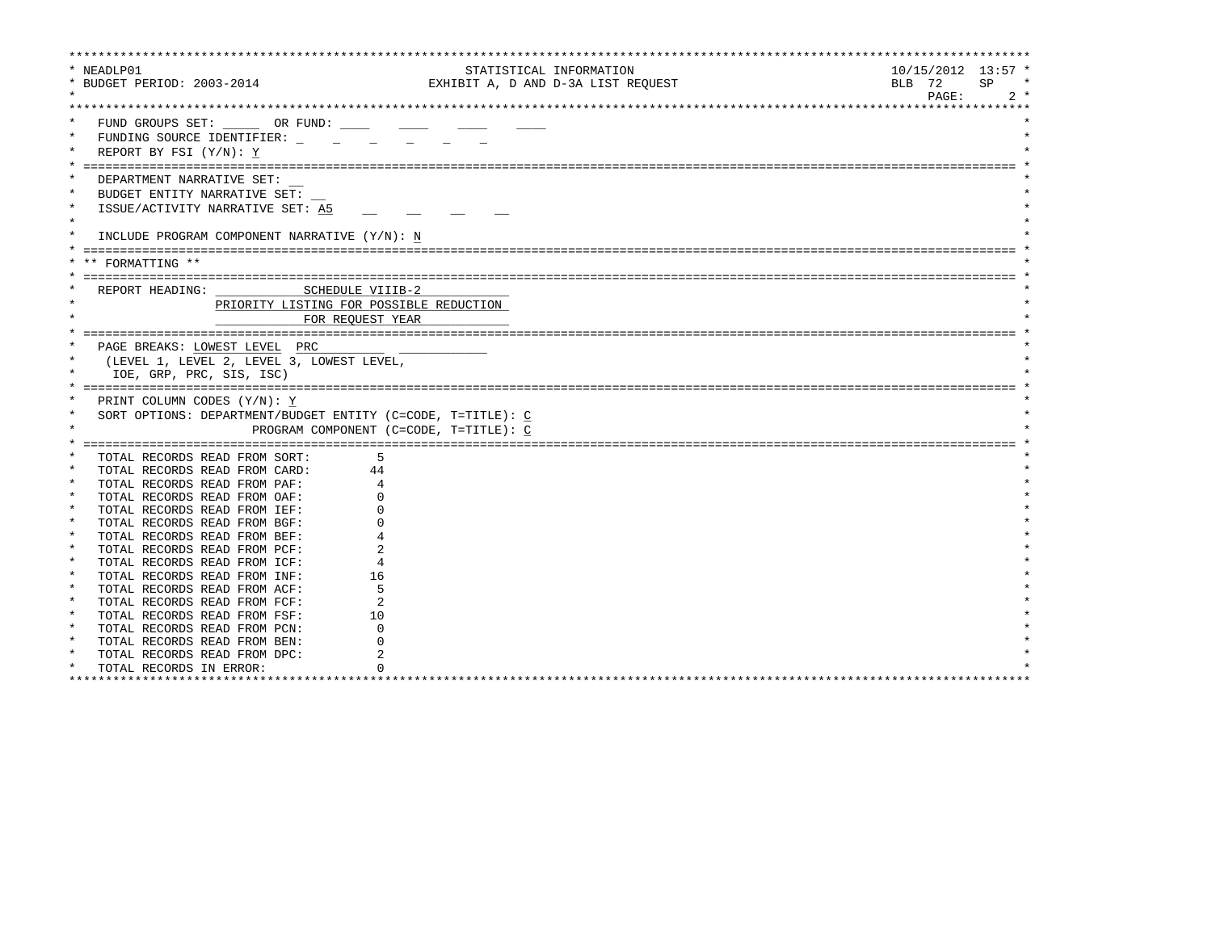| * NEADLP01                                  |                                                             | STATISTICAL INFORMATION            | $10/15/2012$ 13:57 * |
|---------------------------------------------|-------------------------------------------------------------|------------------------------------|----------------------|
| * BUDGET PERIOD: 2003-2014                  |                                                             | EXHIBIT A, D AND D-3A LIST REQUEST | BLB 72<br>SP         |
|                                             |                                                             |                                    | PAGE:<br>$2 *$       |
|                                             |                                                             |                                    |                      |
| FUND GROUPS SET: OR FUND:                   |                                                             |                                    |                      |
| $\star$<br>FUNDING SOURCE IDENTIFIER:       |                                                             |                                    |                      |
| REPORT BY FSI (Y/N): Y                      |                                                             |                                    |                      |
|                                             |                                                             |                                    |                      |
|                                             |                                                             |                                    |                      |
| DEPARTMENT NARRATIVE SET:                   |                                                             |                                    |                      |
| BUDGET ENTITY NARRATIVE SET:                |                                                             |                                    |                      |
| $\star$<br>ISSUE/ACTIVITY NARRATIVE SET: A5 |                                                             |                                    |                      |
| $\star$                                     |                                                             |                                    |                      |
| $\star$                                     | INCLUDE PROGRAM COMPONENT NARRATIVE (Y/N): N                |                                    |                      |
|                                             |                                                             |                                    |                      |
| ** FORMATTING **                            |                                                             |                                    |                      |
|                                             |                                                             |                                    |                      |
| REPORT HEADING:                             | SCHEDULE VIIIB-2                                            |                                    |                      |
|                                             | PRIORITY LISTING FOR POSSIBLE REDUCTION                     |                                    |                      |
|                                             |                                                             |                                    |                      |
|                                             | FOR REOUEST YEAR                                            |                                    |                      |
|                                             |                                                             |                                    |                      |
| PAGE BREAKS: LOWEST LEVEL PRC               |                                                             |                                    |                      |
| $\star$                                     | (LEVEL 1, LEVEL 2, LEVEL 3, LOWEST LEVEL,                   |                                    |                      |
| IOE, GRP, PRC, SIS, ISC)                    |                                                             |                                    |                      |
|                                             |                                                             |                                    |                      |
| PRINT COLUMN CODES (Y/N): Y                 |                                                             |                                    |                      |
| $\star$                                     | SORT OPTIONS: DEPARTMENT/BUDGET ENTITY (C=CODE, T=TITLE): C |                                    |                      |
| $\star$                                     | PROGRAM COMPONENT (C=CODE, T=TITLE): C                      |                                    |                      |
|                                             |                                                             |                                    |                      |
| TOTAL RECORDS READ FROM SORT:               |                                                             |                                    |                      |
| TOTAL RECORDS READ FROM CARD:               | 44                                                          |                                    |                      |
| TOTAL RECORDS READ FROM PAF:                |                                                             |                                    |                      |
| $\star$<br>TOTAL RECORDS READ FROM OAF:     |                                                             |                                    |                      |
| $\star$<br>TOTAL RECORDS READ FROM IEF:     |                                                             |                                    |                      |
| $\star$<br>TOTAL RECORDS READ FROM BGF:     |                                                             |                                    |                      |
| $\star$<br>TOTAL RECORDS READ FROM BEF:     |                                                             |                                    |                      |
| $\star$<br>TOTAL RECORDS READ FROM PCF:     |                                                             |                                    |                      |
| $\ast$                                      |                                                             |                                    |                      |
| TOTAL RECORDS READ FROM ICF:<br>$\star$     |                                                             |                                    |                      |
| TOTAL RECORDS READ FROM INF:<br>$\star$     | 16                                                          |                                    |                      |
| TOTAL RECORDS READ FROM ACF:                |                                                             |                                    |                      |
| $\star$<br>TOTAL RECORDS READ FROM FCF:     | 2                                                           |                                    |                      |
| $\star$<br>TOTAL RECORDS READ FROM FSF:     | 10                                                          |                                    |                      |
| $\star$<br>TOTAL RECORDS READ FROM PCN:     |                                                             |                                    |                      |
| TOTAL RECORDS READ FROM BEN:                |                                                             |                                    |                      |
| $\star$<br>TOTAL RECORDS READ FROM DPC:     |                                                             |                                    |                      |
| $\star$<br>TOTAL RECORDS IN ERROR:          |                                                             |                                    |                      |
| ********************************            |                                                             |                                    |                      |